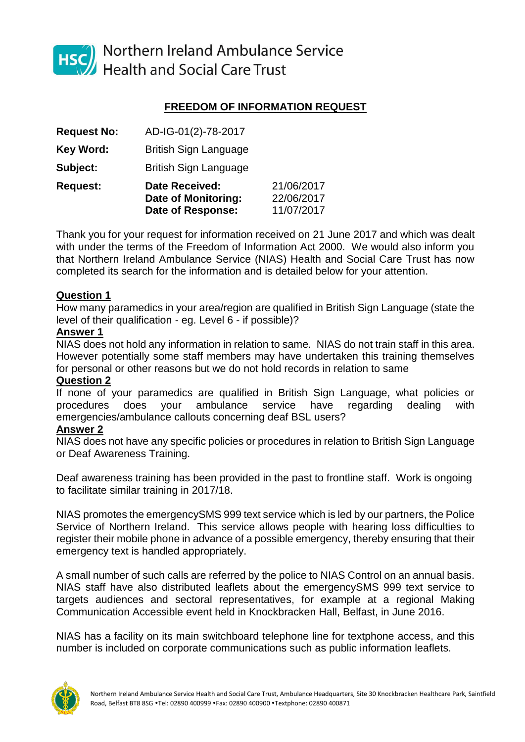

HSC Northern Ireland Ambulance Service<br>Health and Social Care Trust

# **FREEDOM OF INFORMATION REQUEST**

|                    | <b>Date of Response:</b>                     | 11/07/2017               |
|--------------------|----------------------------------------------|--------------------------|
| <b>Request:</b>    | <b>Date Received:</b><br>Date of Monitoring: | 21/06/2017<br>22/06/2017 |
| Subject:           | <b>British Sign Language</b>                 |                          |
| <b>Key Word:</b>   | <b>British Sign Language</b>                 |                          |
| <b>Request No:</b> | AD-IG-01(2)-78-2017                          |                          |

Thank you for your request for information received on 21 June 2017 and which was dealt with under the terms of the Freedom of Information Act 2000. We would also inform you that Northern Ireland Ambulance Service (NIAS) Health and Social Care Trust has now completed its search for the information and is detailed below for your attention.

### **Question 1**

How many paramedics in your area/region are qualified in British Sign Language (state the level of their qualification - eg. Level 6 - if possible)?

### **Answer 1**

NIAS does not hold any information in relation to same. NIAS do not train staff in this area. However potentially some staff members may have undertaken this training themselves for personal or other reasons but we do not hold records in relation to same

# **Question 2**

If none of your paramedics are qualified in British Sign Language, what policies or procedures does your ambulance service have regarding dealing with emergencies/ambulance callouts concerning deaf BSL users?

### **Answer 2**

NIAS does not have any specific policies or procedures in relation to British Sign Language or Deaf Awareness Training.

Deaf awareness training has been provided in the past to frontline staff. Work is ongoing to facilitate similar training in 2017/18.

NIAS promotes the emergencySMS 999 text service which is led by our partners, the Police Service of Northern Ireland. This service allows people with hearing loss difficulties to register their mobile phone in advance of a possible emergency, thereby ensuring that their emergency text is handled appropriately.

A small number of such calls are referred by the police to NIAS Control on an annual basis. NIAS staff have also distributed leaflets about the emergencySMS 999 text service to targets audiences and sectoral representatives, for example at a regional Making Communication Accessible event held in Knockbracken Hall, Belfast, in June 2016.

NIAS has a facility on its main switchboard telephone line for textphone access, and this number is included on corporate communications such as public information leaflets.